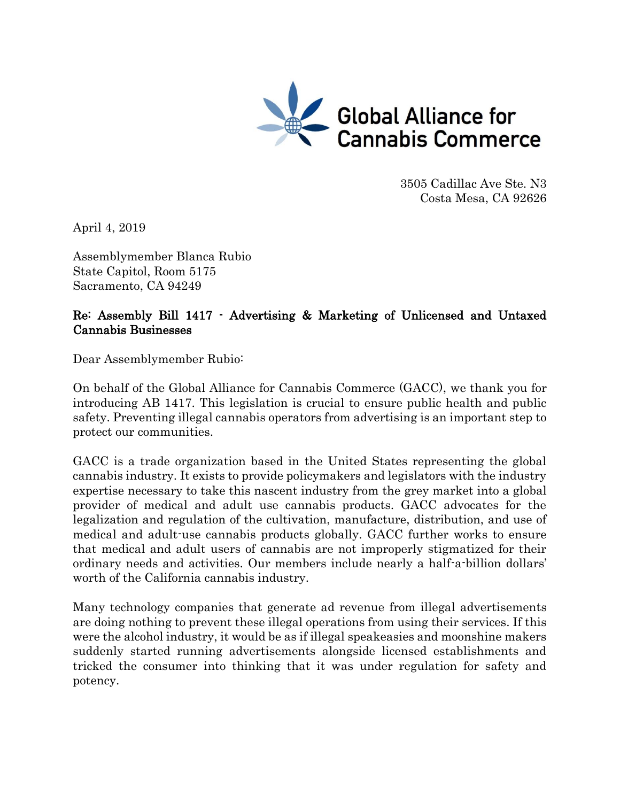

3505 Cadillac Ave Ste. N3 Costa Mesa, CA 92626

April 4, 2019

Assemblymember Blanca Rubio State Capitol, Room 5175 Sacramento, CA 94249

# Re: Assembly Bill 1417 - Advertising & Marketing of Unlicensed and Untaxed Cannabis Businesses

Dear Assemblymember Rubio:

On behalf of the Global Alliance for Cannabis Commerce (GACC), we thank you for introducing AB 1417. This legislation is crucial to ensure public health and public safety. Preventing illegal cannabis operators from advertising is an important step to protect our communities.

GACC is a trade organization based in the United States representing the global cannabis industry. It exists to provide policymakers and legislators with the industry expertise necessary to take this nascent industry from the grey market into a global provider of medical and adult use cannabis products. GACC advocates for the legalization and regulation of the cultivation, manufacture, distribution, and use of medical and adult-use cannabis products globally. GACC further works to ensure that medical and adult users of cannabis are not improperly stigmatized for their ordinary needs and activities. Our members include nearly a half-a-billion dollars' worth of the California cannabis industry.

Many technology companies that generate ad revenue from illegal advertisements are doing nothing to prevent these illegal operations from using their services. If this were the alcohol industry, it would be as if illegal speakeasies and moonshine makers suddenly started running advertisements alongside licensed establishments and tricked the consumer into thinking that it was under regulation for safety and potency.